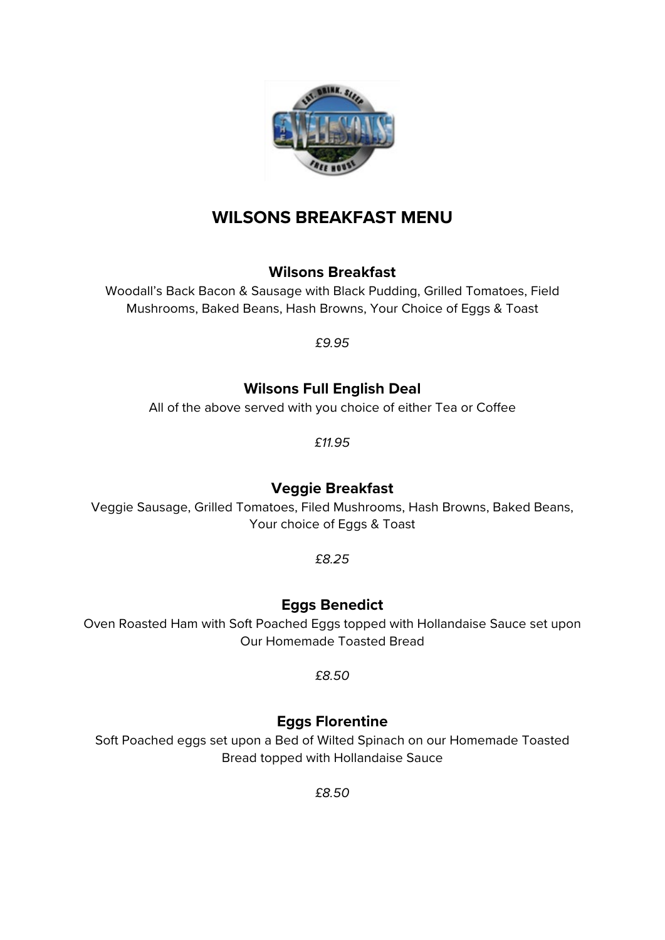

# **WILSONS BREAKFAST MENU**

## **Wilsons Breakfast**

Woodall's Back Bacon & Sausage with Black Pudding, Grilled Tomatoes, Field Mushrooms, Baked Beans, Hash Browns, Your Choice of Eggs & Toast

*£9.95*

## **Wilsons Full English Deal**

All of the above served with you choice of either Tea or Coffee

*£11.95*

## **Veggie Breakfast**

Veggie Sausage, Grilled Tomatoes, Filed Mushrooms, Hash Browns, Baked Beans, Your choice of Eggs & Toast

*£8.25*

## **Eggs Benedict**

Oven Roasted Ham with Soft Poached Eggs topped with Hollandaise Sauce set upon Our Homemade Toasted Bread

*£8.50*

## **Eggs Florentine**

Soft Poached eggs set upon a Bed of Wilted Spinach on our Homemade Toasted Bread topped with Hollandaise Sauce

*£8.50*